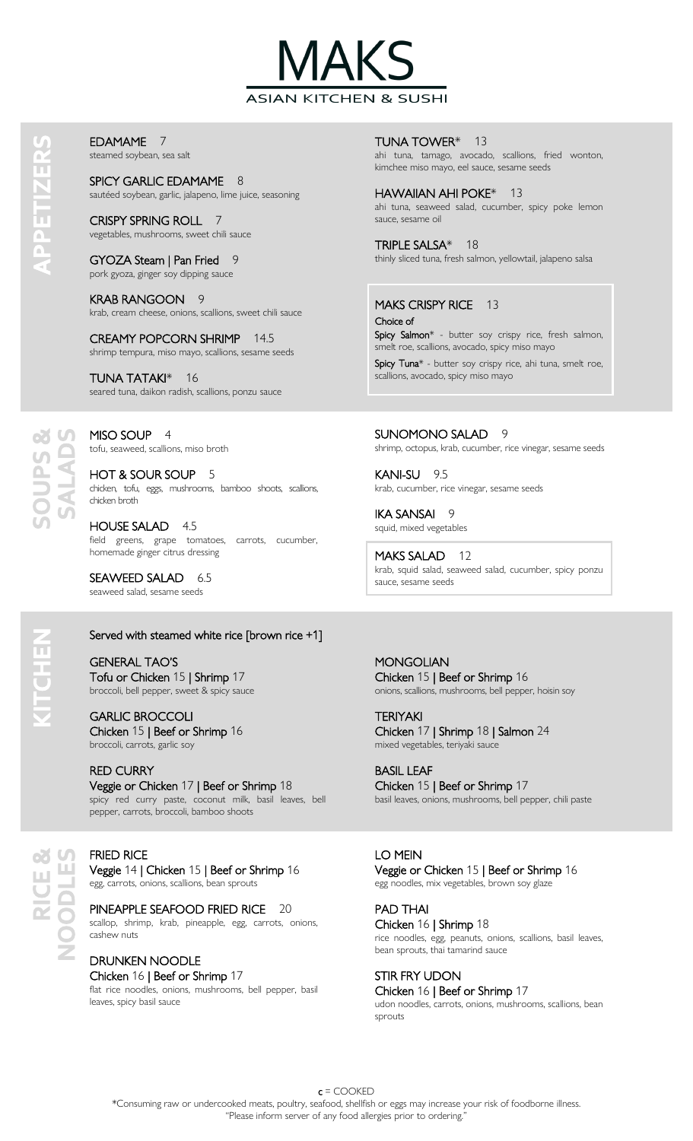

EDAMAME 7 steamed soybean, sea salt

SPICY GARLIC EDAMAME 8 sautéed soybean, garlic, jalapeno, lime juice, seasoning

CRISPY SPRING ROLL 7 vegetables, mushrooms, sweet chili sauce

GYOZA Steam | Pan Fried 9 pork gyoza, ginger soy dipping sauce

KRAB RANGOON 9 krab, cream cheese, onions, scallions, sweet chili sauce

CREAMY POPCORN SHRIMP 14.5 shrimp tempura, miso mayo, scallions, sesame seeds

TUNA TATAKI\* 16 seared tuna, daikon radish, scallions, ponzu sauce

MISO SOUP 4 tofu, seaweed, scallions, miso broth

HOT & SOUR SOUP 5 chicken, tofu, eggs, mushrooms, bamboo shoots, scallions, chicken broth

HOUSE SALAD 4.5 field greens, grape tomatoes, carrots, cucumber, homemade ginger citrus dressing

SEAWEED SALAD 6.5 seaweed salad, sesame seeds

## Served with steamed white rice [brown rice +1]

GENERAL TAO'S Tofu or Chicken 15 | Shrimp 17 broccoli, bell pepper, sweet & spicy sauce

GARLIC BROCCOLI Chicken 15 | Beef or Shrimp 16 broccoli, carrots, garlic soy

RED CURRY Veggie or Chicken 17 | Beef or Shrimp 18 spicy red curry paste, coconut milk, basil leaves, bell pepper, carrots, broccoli, bamboo shoots

FRIED RICE Veggie 14 | Chicken 15 | Beef or Shrimp 16 egg, carrots, onions, scallions, bean sprouts

PINEAPPLE SEAFOOD FRIED RICE 20 scallop, shrimp, krab, pineapple, egg, carrots, onions, cashew nuts

DRUNKEN NOODLE Chicken 16 | Beef or Shrimp 17 flat rice noodles, onions, mushrooms, bell pepper, basil leaves, spicy basil sauce

TUNA TOWER\* 13 ahi tuna, tamago, avocado, scallions, fried wonton, kimchee miso mayo, eel sauce, sesame seeds

HAWAIIAN AHI POKE\* 13 ahi tuna, seaweed salad, cucumber, spicy poke lemon sauce, sesame oil

TRIPLE SALSA\* 18 thinly sliced tuna, fresh salmon, yellowtail, jalapeno salsa

MAKS CRISPY RICE 13 Choice of

Spicy Salmon\* - butter soy crispy rice, fresh salmon, smelt roe, scallions, avocado, spicy miso mayo Spicy Tuna\* - butter soy crispy rice, ahi tuna, smelt roe, scallions, avocado, spicy miso mayo

SUNOMONO SALAD 9 shrimp, octopus, krab, cucumber, rice vinegar, sesame seeds

KANI-SU 9.5 krab, cucumber, rice vinegar, sesame seeds

IKA SANSAI 9 squid, mixed vegetables

MAKS SALAD 12 krab, squid salad, seaweed salad, cucumber, spicy ponzu sauce, sesame seeds

**MONGOLIAN** Chicken 15 | Beef or Shrimp 16 onions, scallions, mushrooms, bell pepper, hoisin soy

TERIYAKI Chicken 17 | Shrimp 18 | Salmon 24 mixed vegetables, teriyaki sauce

BASIL LEAF Chicken 15 | Beef or Shrimp 17 basil leaves, onions, mushrooms, bell pepper, chili paste

LO MEIN Veggie or Chicken 15 | Beef or Shrimp 16

egg noodles, mix vegetables, brown soy glaze

PAD THAI Chicken 16 | Shrimp 18 rice noodles, egg, peanuts, onions, scallions, basil leaves, bean sprouts, thai tamarind sauce

STIR FRY UDON Chicken 16 | Beef or Shrimp 17 udon noodles, carrots, onions, mushrooms, scallions, bean sprouts

**NENE** 

வ க